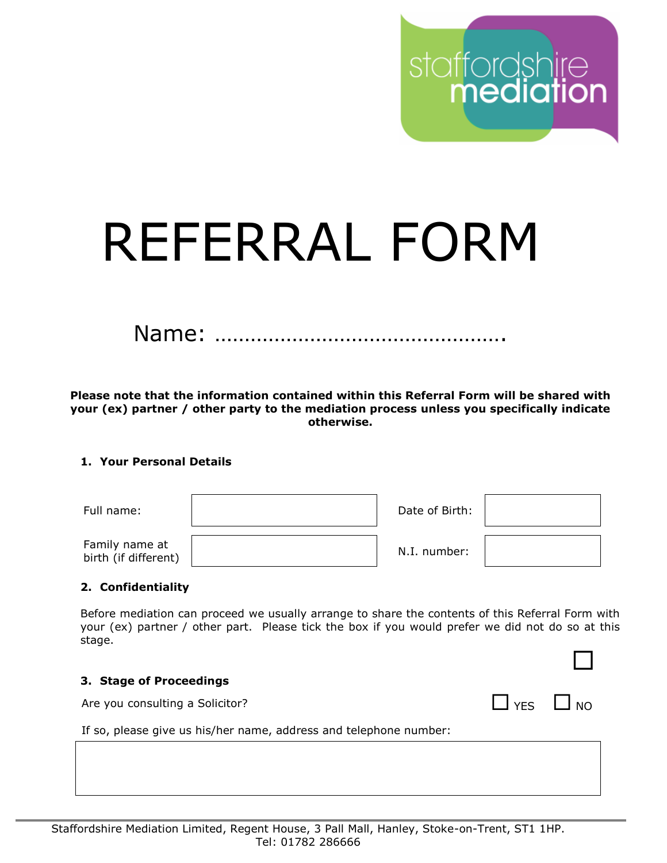# REFERRAL FORM

Name: ………………………………………….

**Please note that the information contained within this Referral Form will be shared with your (ex) partner / other party to the mediation process unless you specifically indicate otherwise.**

# **1. Your Personal Details**

| Full name:                             | Date of Birth: |  |
|----------------------------------------|----------------|--|
| Family name at<br>birth (if different) | N.I. number:   |  |

### **2. Confidentiality**

Before mediation can proceed we usually arrange to share the contents of this Referral Form with your (ex) partner / other part. Please tick the box if you would prefer we did not do so at this stage.

staffordshire<br>**mediation** 

### **3. Stage of Proceedings**

Are you consulting a Solicitor?  $\Box$  YES  $\Box$  NO

If so, please give us his/her name, address and telephone number: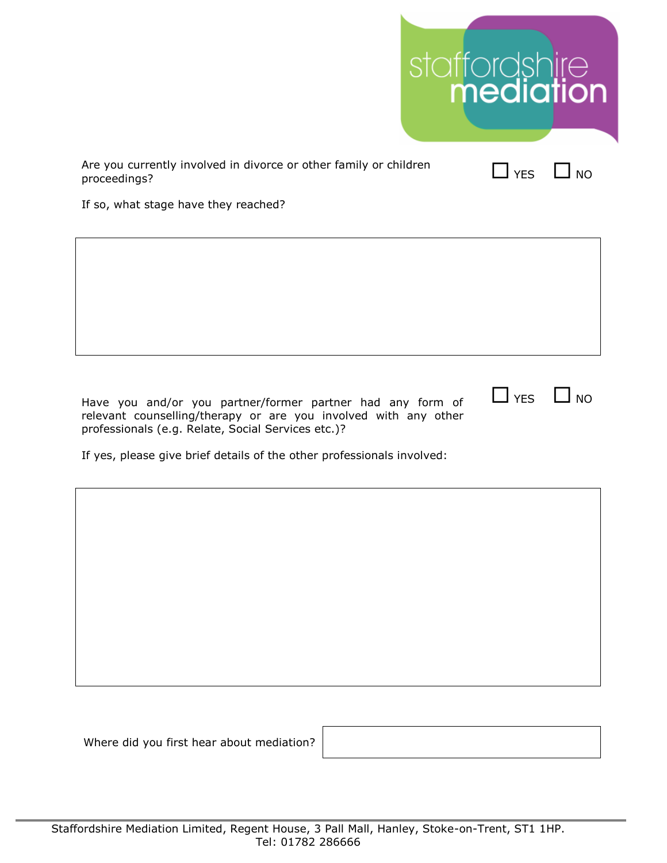|                                                                                   | staffordshire<br><b>mediation</b> |            |           |
|-----------------------------------------------------------------------------------|-----------------------------------|------------|-----------|
| Are you currently involved in divorce or other family or children<br>proceedings? |                                   | $\Box$ YES | $\Box$ NO |
| If so, what stage have they reached?                                              |                                   |            |           |
|                                                                                   |                                   |            |           |
|                                                                                   |                                   |            |           |

Have you and/or you partner/former partner had any form of relevant counselling/therapy or are you involved with any other professionals (e.g. Relate, Social Services etc.)?

If yes, please give brief details of the other professionals involved:

Where did you first hear about mediation?

 $\Box$  YES  $\Box$  NO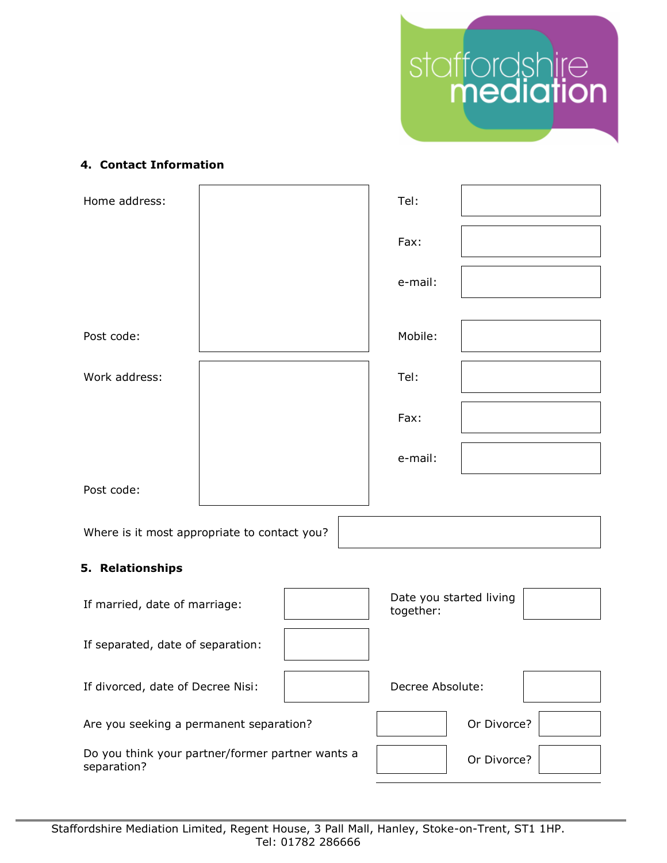

# **4. Contact Information**

| Home address:                     |                                              | Tel:                                 |  |
|-----------------------------------|----------------------------------------------|--------------------------------------|--|
|                                   |                                              | Fax:                                 |  |
|                                   |                                              | e-mail:                              |  |
| Post code:                        |                                              | Mobile:                              |  |
| Work address:                     |                                              | Tel:                                 |  |
|                                   |                                              | Fax:                                 |  |
|                                   |                                              | e-mail:                              |  |
| Post code:                        |                                              |                                      |  |
|                                   | Where is it most appropriate to contact you? |                                      |  |
| 5. Relationships                  |                                              |                                      |  |
| If married, date of marriage:     |                                              | Date you started living<br>together: |  |
| If separated, date of separation: |                                              |                                      |  |

If divorced, date of Decree Nisi: Decree Absolute:

Are you seeking a permanent separation? The Section of Divorce?

Do you think your partner/former partner wants a  $\vert$  or Divorce?

Staffordshire Mediation Limited, Regent House, 3 Pall Mall, Hanley, Stoke-on-Trent, ST1 1HP. Tel: 01782 286666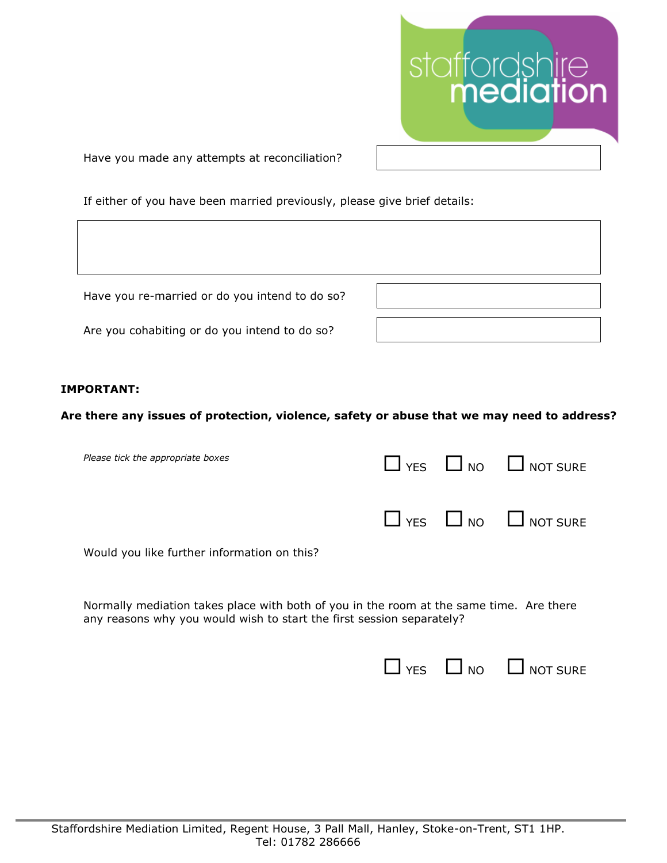

Have you made any attempts at reconciliation?

If either of you have been married previously, please give brief details:

Have you re-married or do you intend to do so?

Are you cohabiting or do you intend to do so?

### **IMPORTANT:**

### **Are there any issues of protection, violence, safety or abuse that we may need to address?**

| Please tick the appropriate boxes           |  | $\Box$ YES $\Box$ NO $\Box$ NOT SURE |
|---------------------------------------------|--|--------------------------------------|
|                                             |  | $\Box$ YES $\Box$ NO $\Box$ NOT SURE |
| Would you like further information on this? |  |                                      |

Normally mediation takes place with both of you in the room at the same time. Are there any reasons why you would wish to start the first session separately?

| $\Box$ YES | $\Box$ NO | $\Box$ NOT SURE |
|------------|-----------|-----------------|
|            |           |                 |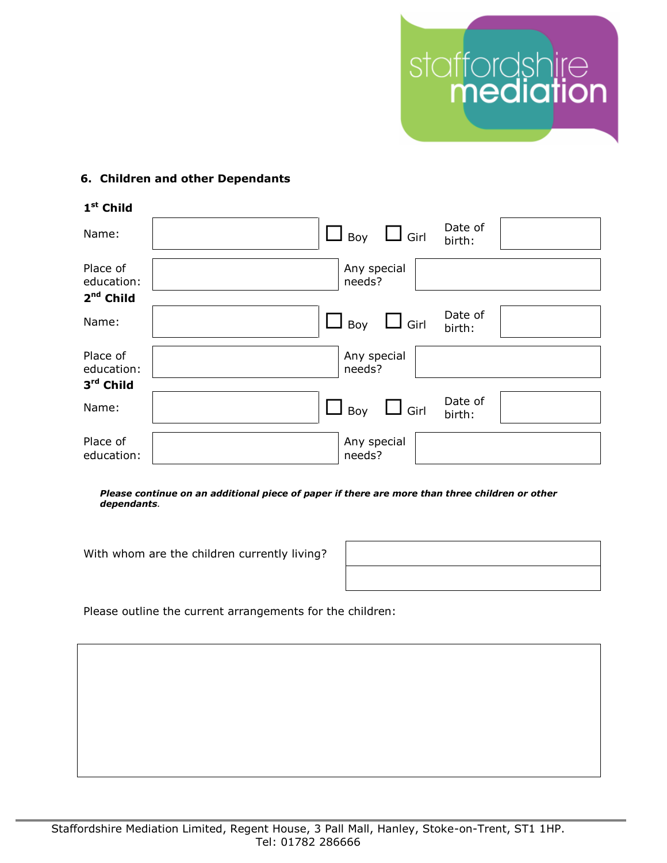

# **6. Children and other Dependants**

| 1 <sup>st</sup> Child  |                                                |
|------------------------|------------------------------------------------|
| Name:                  | Date of<br>$\Box$ Boy $\Box$ Girl<br>birth:    |
| Place of<br>education: | Any special<br>needs?                          |
| $2nd$ Child            |                                                |
| Name:                  | Date of<br>$\Box$ Girl<br>$\Box$ Boy<br>birth: |
| Place of<br>education: | Any special<br>needs?                          |
| 3rd Child              |                                                |
| Name:                  | Date of<br>$\Box$ Girl<br>$\Box$ Boy<br>birth: |
| Place of<br>education: | Any special<br>needs?                          |

*Please continue on an additional piece of paper if there are more than three children or other dependants.*

With whom are the children currently living?

Please outline the current arrangements for the children: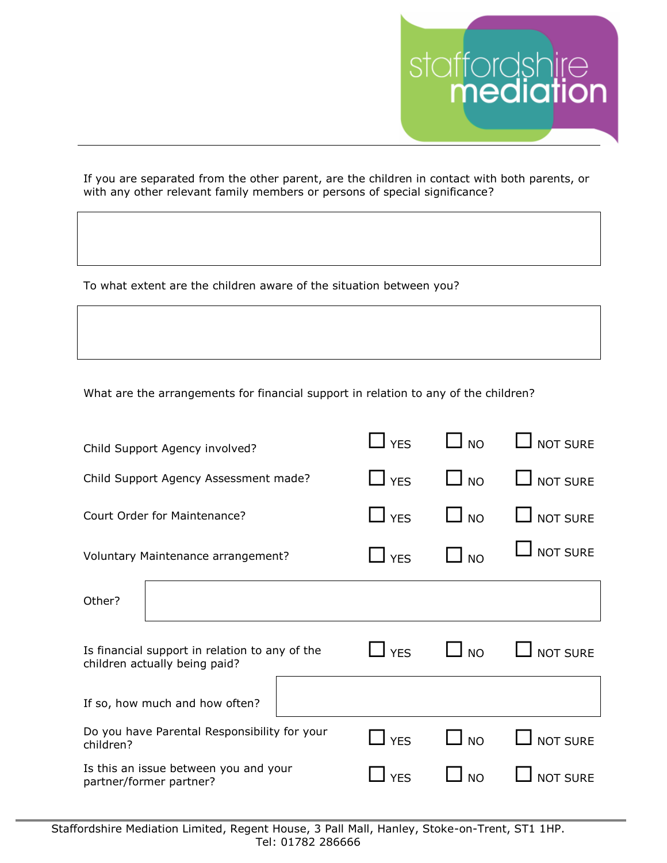

If you are separated from the other parent, are the children in contact with both parents, or with any other relevant family members or persons of special significance?

To what extent are the children aware of the situation between you?

What are the arrangements for financial support in relation to any of the children?

| Child Support Agency involved?                                                  | <b>YES</b>             | <b>NO</b> | <b>NOT SURE</b> |
|---------------------------------------------------------------------------------|------------------------|-----------|-----------------|
| Child Support Agency Assessment made?                                           | $\Box$ YES             | $\Box$ NO | <b>NOT SURE</b> |
| Court Order for Maintenance?                                                    | $\Box$ YES             | I NO      | <b>NOT SURE</b> |
| Voluntary Maintenance arrangement?                                              | $\mathbf{\square}$ YES | <b>NO</b> | <b>NOT SURE</b> |
| Other?                                                                          |                        |           |                 |
| Is financial support in relation to any of the<br>children actually being paid? | <b>YES</b>             | <b>NO</b> | <b>NOT SURE</b> |
| If so, how much and how often?                                                  |                        |           |                 |
| Do you have Parental Responsibility for your<br>children?                       | $\Box$ YES             | <b>NO</b> | <b>NOT SURE</b> |
| Is this an issue between you and your<br>partner/former partner?                | <b>YES</b>             | <b>NO</b> | <b>NOT SURE</b> |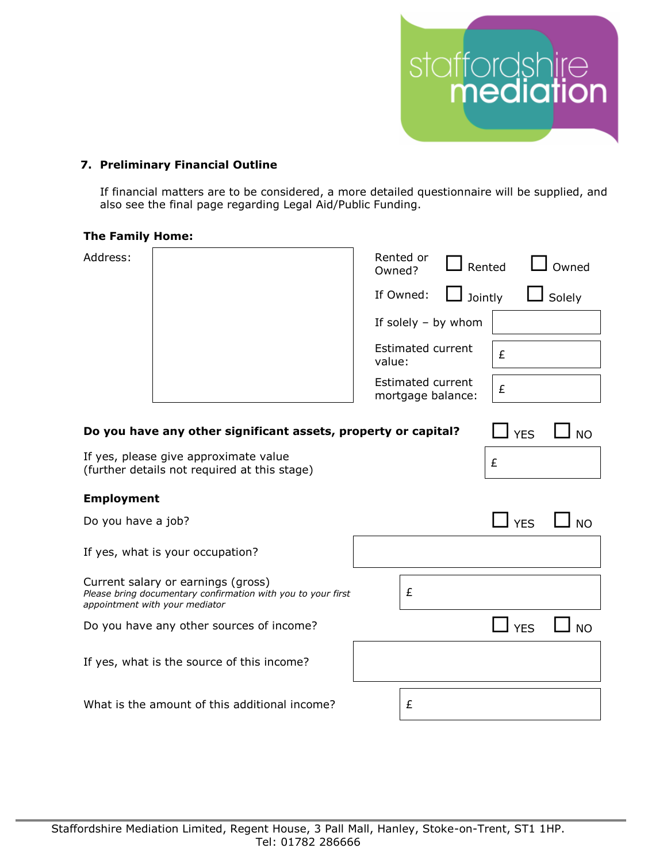

# **7. Preliminary Financial Outline**

If financial matters are to be considered, a more detailed questionnaire will be supplied, and also see the final page regarding Legal Aid/Public Funding.

### **The Family Home:**

| Address:                                   |                                                                                                                                      | Rented or<br>Owned?                           | Rented     | Owned         |
|--------------------------------------------|--------------------------------------------------------------------------------------------------------------------------------------|-----------------------------------------------|------------|---------------|
|                                            |                                                                                                                                      | If Owned:                                     | Jointly    | $\Box$ Solely |
|                                            |                                                                                                                                      | If solely $-$ by whom                         |            |               |
|                                            |                                                                                                                                      | <b>Estimated current</b><br>value:            | £          |               |
|                                            |                                                                                                                                      | <b>Estimated current</b><br>mortgage balance: | £          |               |
|                                            | Do you have any other significant assets, property or capital?                                                                       |                                               | <b>YES</b> | <b>NO</b>     |
|                                            | If yes, please give approximate value<br>(further details not required at this stage)                                                |                                               | £          |               |
| <b>Employment</b>                          |                                                                                                                                      |                                               |            |               |
| Do you have a job?                         |                                                                                                                                      |                                               | <b>YES</b> | <b>NO</b>     |
|                                            | If yes, what is your occupation?                                                                                                     |                                               |            |               |
|                                            | Current salary or earnings (gross)<br>Please bring documentary confirmation with you to your first<br>appointment with your mediator | £                                             |            |               |
|                                            | Do you have any other sources of income?                                                                                             |                                               | <b>YES</b> | <b>NO</b>     |
| If yes, what is the source of this income? |                                                                                                                                      |                                               |            |               |
|                                            | What is the amount of this additional income?                                                                                        | £                                             |            |               |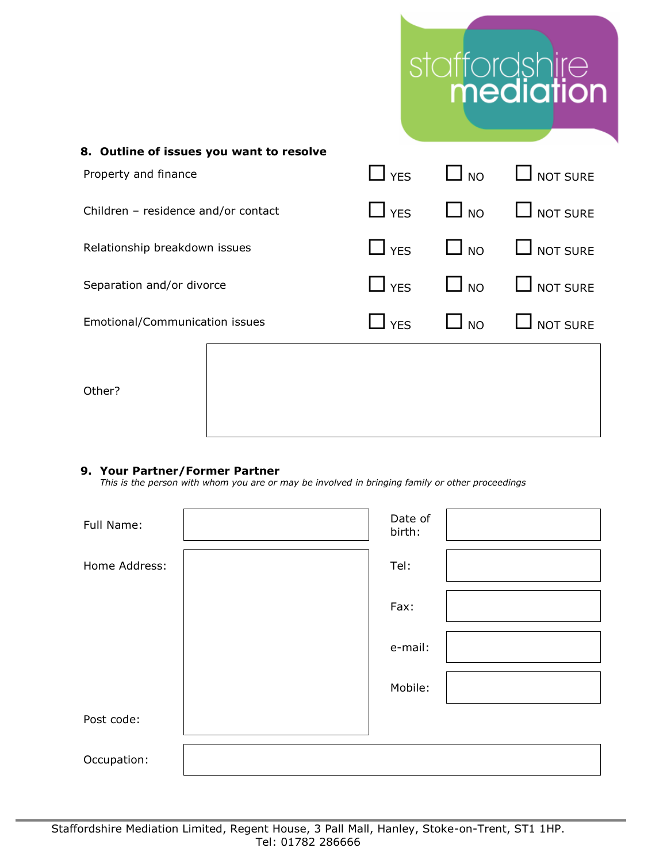# staffordshire<br>mediation

| 8. Outline of issues you want to resolve |  |               |           |                           |
|------------------------------------------|--|---------------|-----------|---------------------------|
| Property and finance                     |  | $\Box$ YES    | $\Box$ NO | $\Box$ NOT SURE           |
| Children - residence and/or contact      |  | $\bigcup$ YES | $\Box$ NO | $\Box$ NOT SURE           |
| Relationship breakdown issues            |  | $\Box$ YES    | $\Box$ NO | $\Box$ NOT SURE           |
| Separation and/or divorce                |  | $\Box$ YES    | $\Box$ NO | $\Box$ NOT SURE           |
| Emotional/Communication issues           |  | $\Box$ YES    |           | $\Box$ NO $\Box$ NOT SURE |
| Other?                                   |  |               |           |                           |

## **9. Your Partner/Former Partner**

*This is the person with whom you are or may be involved in bringing family or other proceedings*

| Full Name:    | Date of<br>birth: |  |
|---------------|-------------------|--|
| Home Address: | Tel:              |  |
|               | Fax:              |  |
|               | e-mail:           |  |
|               | Mobile:           |  |
| Post code:    |                   |  |
| Occupation:   |                   |  |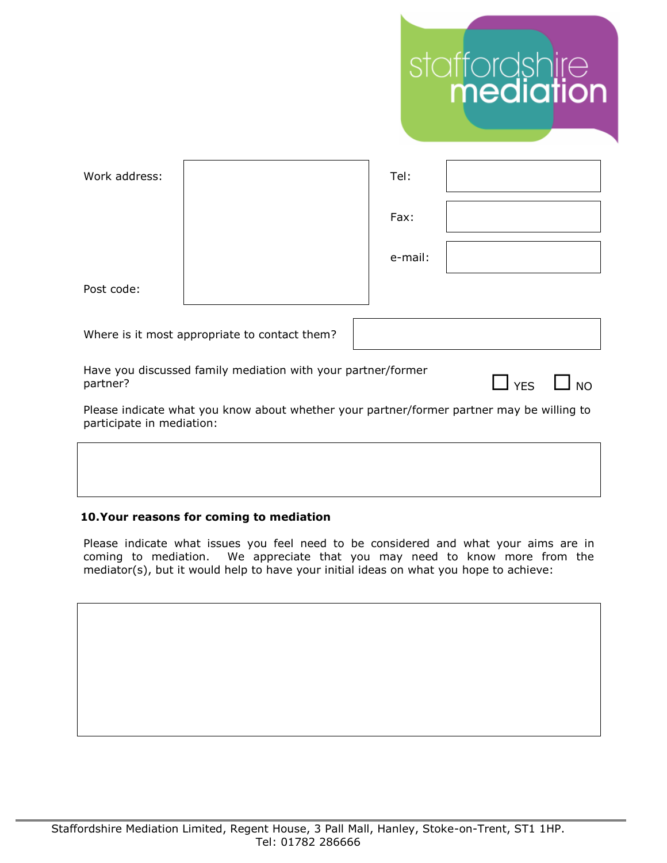|                           |                                                                                           |         | staffordshire<br><b>mediation</b> |
|---------------------------|-------------------------------------------------------------------------------------------|---------|-----------------------------------|
| Work address:             |                                                                                           | Tel:    |                                   |
|                           |                                                                                           | Fax:    |                                   |
|                           |                                                                                           | e-mail: |                                   |
| Post code:                |                                                                                           |         |                                   |
|                           | Where is it most appropriate to contact them?                                             |         |                                   |
| partner?                  | Have you discussed family mediation with your partner/former                              |         | $\Box$ YES<br><b>NO</b>           |
| participate in mediation: | Please indicate what you know about whether your partner/former partner may be willing to |         |                                   |
|                           |                                                                                           |         |                                   |

# **10.Your reasons for coming to mediation**

Please indicate what issues you feel need to be considered and what your aims are in coming to mediation. We appreciate that you may need to know more from the mediator(s), but it would help to have your initial ideas on what you hope to achieve: